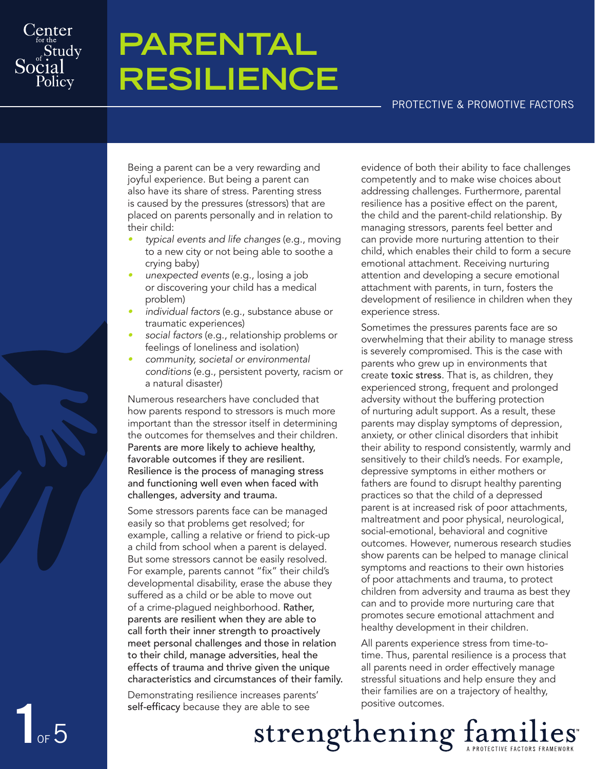

**1**of5

# **Parental Resilience**

#### Protective & Promotive Factors

Being a parent can be a very rewarding and joyful experience. But being a parent can also have its share of stress. Parenting stress is caused by the pressures (stressors) that are placed on parents personally and in relation to their child:

- typical events and life changes (e.g., moving to a new city or not being able to soothe a crying baby)
- unexpected events (e.g., losing a job or discovering your child has a medical problem)
- individual factors (e.g., substance abuse or traumatic experiences)
- social factors (e.g., relationship problems or feelings of loneliness and isolation)
- community, societal or environmental conditions (e.g., persistent poverty, racism or a natural disaster)

Numerous researchers have concluded that how parents respond to stressors is much more important than the stressor itself in determining the outcomes for themselves and their children. Parents are more likely to achieve healthy, favorable outcomes if they are resilient. Resilience is the process of managing stress and functioning well even when faced with challenges, adversity and trauma.

Some stressors parents face can be managed easily so that problems get resolved; for example, calling a relative or friend to pick-up a child from school when a parent is delayed. But some stressors cannot be easily resolved. For example, parents cannot "fix" their child's developmental disability, erase the abuse they suffered as a child or be able to move out of a crime-plagued neighborhood. Rather, parents are resilient when they are able to call forth their inner strength to proactively meet personal challenges and those in relation to their child, manage adversities, heal the effects of trauma and thrive given the unique characteristics and circumstances of their family.

Demonstrating resilience increases parents' self-efficacy because they are able to see

evidence of both their ability to face challenges competently and to make wise choices about addressing challenges. Furthermore, parental resilience has a positive effect on the parent, the child and the parent-child relationship. By managing stressors, parents feel better and can provide more nurturing attention to their child, which enables their child to form a secure emotional attachment. Receiving nurturing attention and developing a secure emotional attachment with parents, in turn, fosters the development of resilience in children when they experience stress.

Sometimes the pressures parents face are so overwhelming that their ability to manage stress is severely compromised. This is the case with parents who grew up in environments that create toxic stress. That is, as children, they experienced strong, frequent and prolonged adversity without the buffering protection of nurturing adult support. As a result, these parents may display symptoms of depression, anxiety, or other clinical disorders that inhibit their ability to respond consistently, warmly and sensitively to their child's needs. For example, depressive symptoms in either mothers or fathers are found to disrupt healthy parenting practices so that the child of a depressed parent is at increased risk of poor attachments, maltreatment and poor physical, neurological, social-emotional, behavioral and cognitive outcomes. However, numerous research studies show parents can be helped to manage clinical symptoms and reactions to their own histories of poor attachments and trauma, to protect children from adversity and trauma as best they can and to provide more nurturing care that promotes secure emotional attachment and healthy development in their children.

All parents experience stress from time-totime. Thus, parental resilience is a process that all parents need in order effectively manage stressful situations and help ensure they and their families are on a trajectory of healthy, positive outcomes.

Strengthening families